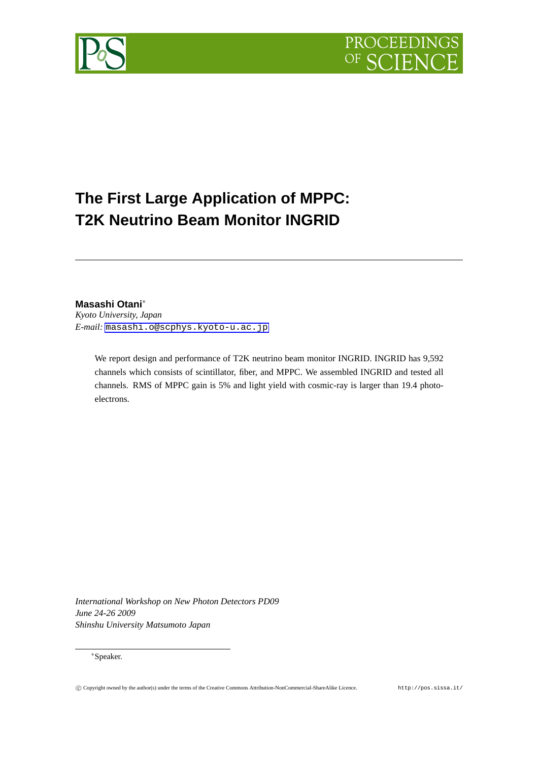



# **The First Large Application of MPPC: T2K Neutrino Beam Monitor INGRID**

**Masashi Otani***∗*

*Kyoto University, Japan E-mail:* masashi.o@scphys.kyoto-u.ac.jp

We report design and performance of T2K neutrino beam monitor INGRID. INGRID has 9,592 ch[annels which consists of scintillator, fiber, an](mailto:masashi.o@scphys.kyoto-u.ac.jp)d MPPC. We assembled INGRID and tested all channels. RMS of MPPC gain is 5% and light yield with cosmic-ray is larger than 19.4 photoelectrons.

*International Workshop on New Photon Detectors PD09 June 24-26 2009 Shinshu University Matsumoto Japan*

*∗*Speaker.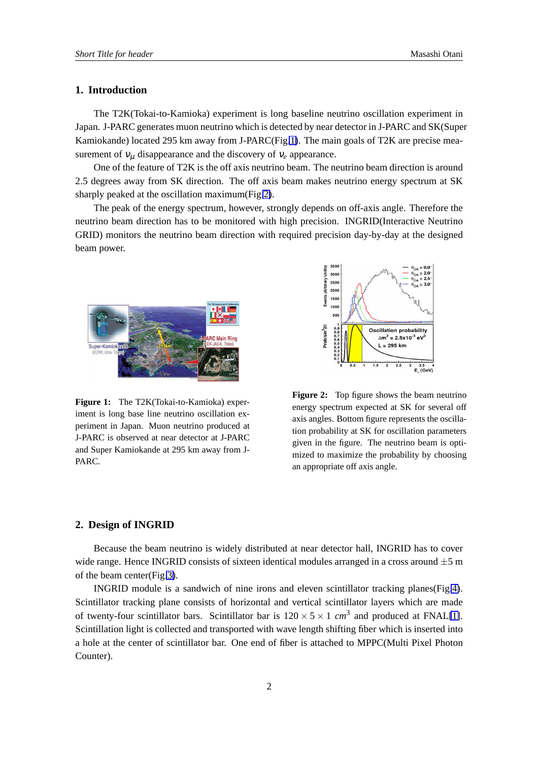# **1. Introduction**

The T2K(Tokai-to-Kamioka) experiment is long baseline neutrino oscillation experiment in Japan. J-PARC generates muon neutrino which is detected by near detector in J-PARC and SK(Super Kamiokande) located 295 km away from J-PARC(Fig.1). The main goals of T2K are precise measurement of  $v_{\mu}$  disappearance and the discovery of  $v_{e}$  appearance.

One of the feature of T2K is the off axis neutrino beam. The neutrino beam direction is around 2.5 degrees away from SK direction. The off axis beam makes neutrino energy spectrum at SK sharply peaked at the oscillation maximum(Fig.2).

The peak of the energy spectrum, however, strongly depends on off-axis angle. Therefore the neutrino beam direction has to be monitored with high precision. INGRID(Interactive Neutrino GRID) monitors the neutrino beam direction with required precision day-by-day at the designed beam power.



**Figure 1:** The T2K(Tokai-to-Kamioka) experiment is long base line neutrino oscillation experiment in Japan. Muon neutrino produced at J-PARC is observed at near detector at J-PARC and Super Kamiokande at 295 km away from J-PARC.



**Figure 2:** Top figure shows the beam neutrino energy spectrum expected at SK for several off axis angles. Bottom figure represents the oscillation probability at SK for oscillation parameters given in the figure. The neutrino beam is optimized to maximize the probability by choosing an appropriate off axis angle.

#### **2. Design of INGRID**

Because the beam neutrino is widely distributed at near detector hall, INGRID has to cover wide range. Hence INGRID consists of sixteen identical modules arranged in a cross around *±*5 m of the beam center(Fig.3).

INGRID module is a sandwich of nine irons and eleven scintillator tracking planes(Fig.4). Scintillator tracking plane consists of horizontal and vertical scintillator layers which are made of twenty-four scintill[ato](#page-2-0)r bars. Scintillator bar is  $120 \times 5 \times 1$  *cm*<sup>3</sup> and produced at FNAL[1]. Scintillation light is collected and transported with wave length shifting fiber which is inserted i[nto](#page-2-0) a hole at the center of scintillator bar. One end of fiber is attached to MPPC(Multi Pixel Photon Counter).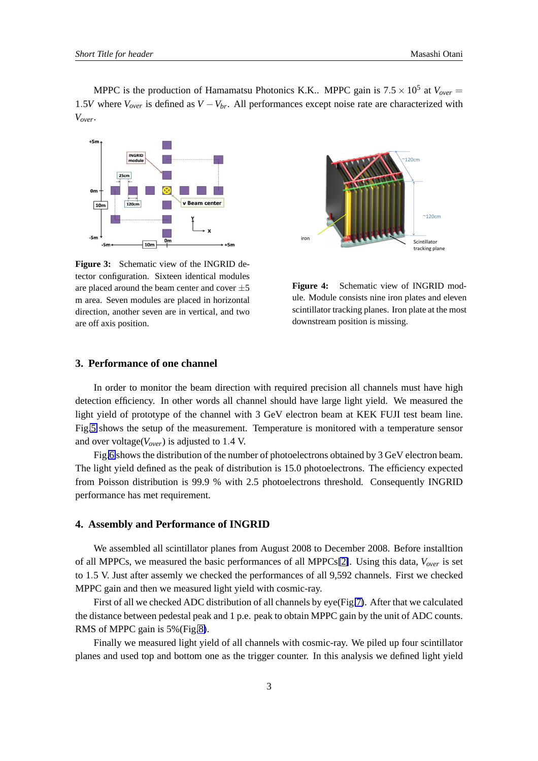<span id="page-2-0"></span>MPPC is the production of Hamamatsu Photonics K.K.. MPPC gain is  $7.5 \times 10^5$  at  $V_{over}$ 1*.*5*V* where *Vover* is defined as *V −Vbr*. All performances except noise rate are characterized with *Vover*.



**Figure 3:** Schematic view of the INGRID detector configuration. Sixteen identical modules are placed around the beam center and cover *±*5 m area. Seven modules are placed in horizontal direction, another seven are in vertical, and two are off axis position.



**Figure 4:** Schematic view of INGRID module. Module consists nine iron plates and eleven scintillator tracking planes. Iron plate at the most downstream position is missing.

# **3. Performance of one channel**

In order to monitor the beam direction with required precision all channels must have high detection efficiency. In other words all channel should have large light yield. We measured the light yield of prototype of the channel with 3 GeV electron beam at KEK FUJI test beam line. Fig.5 shows the setup of the measurement. Temperature is monitored with a temperature sensor and over voltage(*Vover*) is adjusted to 1*.*4 V.

Fig.6 shows the distribution of the number of photoelectrons obtained by 3 GeV electron beam. Th[e li](#page-3-0)ght yield defined as the peak of distribution is 15.0 photoelectrons. The efficiency expected from Poisson distribution is 99.9 % with 2.5 photoelectrons threshold. Consequently INGRID perform[an](#page-3-0)ce has met requirement.

#### **4. Assembly and Performance of INGRID**

We assembled all scintillator planes from August 2008 to December 2008. Before installtion of all MPPCs, we measured the basic performances of all MPPCs[2]. Using this data, *Vover* is set to 1*.*5 V. Just after assemly we checked the performances of all 9,592 channels. First we checked MPPC gain and then we measured light yield with cosmic-ray.

First of all we checked ADC distribution of all channels by eye[\(Fi](#page-4-0)g.7). After that we calculated the distance between pedestal peak and 1 p.e. peak to obtain MPPC gain by the unit of ADC counts. RMS of MPPC gain is 5%(Fig.8).

Finally we measured light yield of all channels with cosmic-ray. [We](#page-3-0) piled up four scintillator planes and used top and bottom one as the trigger counter. In this analysis we defined light yield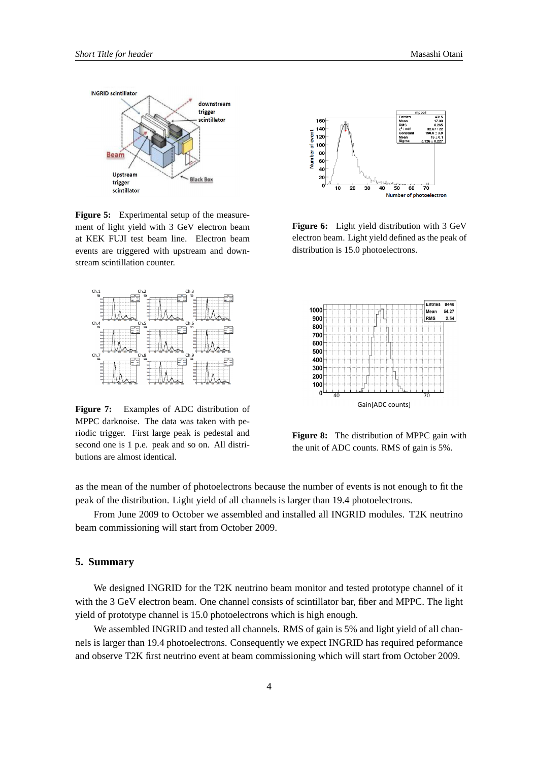<span id="page-3-0"></span>

**Figure 5:** Experimental setup of the measurement of light yield with 3 GeV electron beam at KEK FUJI test beam line. Electron beam events are triggered with upstream and downstream scintillation counter.



**Figure 7:** Examples of ADC distribution of MPPC darknoise. The data was taken with periodic trigger. First large peak is pedestal and second one is 1 p.e. peak and so on. All distributions are almost identical.



**Figure 6:** Light yield distribution with 3 GeV electron beam. Light yield defined as the peak of distribution is 15.0 photoelectrons.



**Figure 8:** The distribution of MPPC gain with the unit of ADC counts. RMS of gain is 5%.

as the mean of the number of photoelectrons because the number of events is not enough to fit the peak of the distribution. Light yield of all channels is larger than 19.4 photoelectrons.

From June 2009 to October we assembled and installed all INGRID modules. T2K neutrino beam commissioning will start from October 2009.

#### **5. Summary**

We designed INGRID for the T2K neutrino beam monitor and tested prototype channel of it with the 3 GeV electron beam. One channel consists of scintillator bar, fiber and MPPC. The light yield of prototype channel is 15.0 photoelectrons which is high enough.

We assembled INGRID and tested all channels. RMS of gain is 5% and light yield of all channels is larger than 19.4 photoelectrons. Consequently we expect INGRID has required peformance and observe T2K first neutrino event at beam commissioning which will start from October 2009.